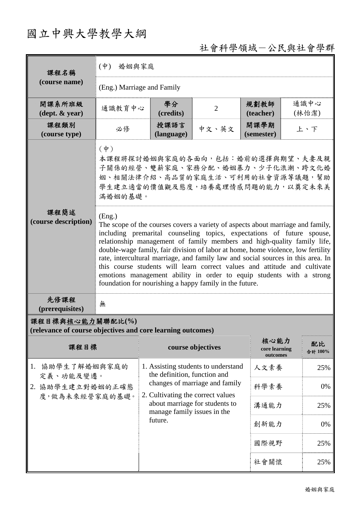## 國立中興大學教學大綱

## 社會科學領域-公民與社會學群

| 課程名稱                                                                            | $(\phi)$<br>婚姻與家庭                                                                                                                                                                                                                                                                                                                                                                                                                                                                                                                                                                                                                                                                                                                                                                                             |                                                                     |                   |                                   |     |               |  |
|---------------------------------------------------------------------------------|---------------------------------------------------------------------------------------------------------------------------------------------------------------------------------------------------------------------------------------------------------------------------------------------------------------------------------------------------------------------------------------------------------------------------------------------------------------------------------------------------------------------------------------------------------------------------------------------------------------------------------------------------------------------------------------------------------------------------------------------------------------------------------------------------------------|---------------------------------------------------------------------|-------------------|-----------------------------------|-----|---------------|--|
| (course name)                                                                   | (Eng.) Marriage and Family                                                                                                                                                                                                                                                                                                                                                                                                                                                                                                                                                                                                                                                                                                                                                                                    |                                                                     |                   |                                   |     |               |  |
| 開課系所班級<br>$(\text{dept.} \& \text{ year})$                                      | 通識教育中心                                                                                                                                                                                                                                                                                                                                                                                                                                                                                                                                                                                                                                                                                                                                                                                                        | 學分<br>(credits)                                                     | $\overline{2}$    | 規劃教師<br>(teacher)                 |     | 通識中心<br>(林怡潔) |  |
| 課程類別<br>(course type)                                                           | 必修                                                                                                                                                                                                                                                                                                                                                                                                                                                                                                                                                                                                                                                                                                                                                                                                            | 授課語言<br>(language)                                                  | 中文、英文             | 開課學期<br>(semester)                |     | 上、下           |  |
|                                                                                 | $(\phi)$<br>本課程將探討婚姻與家庭的各面向,包括:婚前的選擇與期望、夫妻及親<br>子關係的經營、雙薪家庭、家務分配、婚姻暴力、少子化浪潮、跨文化婚<br>姻、相關法律介紹、高品質的家庭生活、可利用的社會資源等議題,幫助<br>學生建立適當的價值觀及態度,培養處理情感問題的能力,以奠定未來美<br>滿婚姻的基礎。<br>(Eng.)<br>The scope of the courses covers a variety of aspects about marriage and family,<br>including premarital counseling topics, expectations of future spouse,<br>relationship management of family members and high-quality family life,<br>double-wage family, fair division of labor at home, home violence, low fertility<br>rate, intercultural marriage, and family law and social sources in this area. In<br>this course students will learn correct values and attitude and cultivate<br>emotions management ability in order to equip students with a strong<br>foundation for nourishing a happy family in the future. |                                                                     |                   |                                   |     |               |  |
| 課程簡述<br>(course description)                                                    |                                                                                                                                                                                                                                                                                                                                                                                                                                                                                                                                                                                                                                                                                                                                                                                                               |                                                                     |                   |                                   |     |               |  |
| 先修課程<br>(prerequisites)                                                         | 無                                                                                                                                                                                                                                                                                                                                                                                                                                                                                                                                                                                                                                                                                                                                                                                                             |                                                                     |                   |                                   |     |               |  |
| 課程目標與核心能力關聯配比(%)<br>(relevance of course objectives and core learning outcomes) |                                                                                                                                                                                                                                                                                                                                                                                                                                                                                                                                                                                                                                                                                                                                                                                                               |                                                                     |                   |                                   |     |               |  |
| 課程目標                                                                            |                                                                                                                                                                                                                                                                                                                                                                                                                                                                                                                                                                                                                                                                                                                                                                                                               |                                                                     | course objectives | 核心能力<br>core learning<br>outcomes |     | 配比<br>合計 100% |  |
| 1. 協助學生了解婚姻與家庭的<br>定義、功能及變遷。<br>2. 協助學生建立對婚姻的正確態<br>度,做為未來經營家庭的基礎。              |                                                                                                                                                                                                                                                                                                                                                                                                                                                                                                                                                                                                                                                                                                                                                                                                               | 1. Assisting students to understand<br>the definition, function and |                   | 人文素養                              |     | 25%           |  |
|                                                                                 |                                                                                                                                                                                                                                                                                                                                                                                                                                                                                                                                                                                                                                                                                                                                                                                                               | changes of marriage and family<br>2. Cultivating the correct values | 科學素養              |                                   | 0%  |               |  |
|                                                                                 |                                                                                                                                                                                                                                                                                                                                                                                                                                                                                                                                                                                                                                                                                                                                                                                                               | about marriage for students to<br>manage family issues in the       | 溝通能力              |                                   | 25% |               |  |
|                                                                                 |                                                                                                                                                                                                                                                                                                                                                                                                                                                                                                                                                                                                                                                                                                                                                                                                               | future.                                                             |                   | 創新能力                              |     | 0%            |  |
|                                                                                 |                                                                                                                                                                                                                                                                                                                                                                                                                                                                                                                                                                                                                                                                                                                                                                                                               |                                                                     |                   | 國際視野                              |     | 25%           |  |
|                                                                                 |                                                                                                                                                                                                                                                                                                                                                                                                                                                                                                                                                                                                                                                                                                                                                                                                               |                                                                     | 社會關懷              |                                   | 25% |               |  |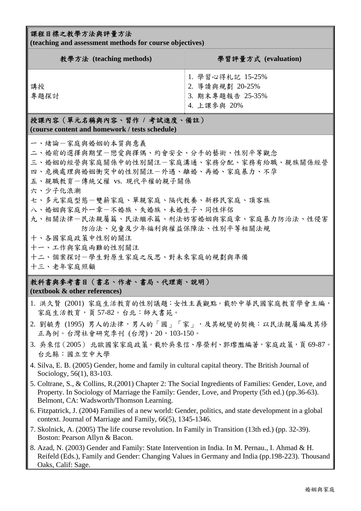## 課程目標之教學方法與評量方法

**(teaching and assessment methods for course objectives)** 

| 教學方法 (teaching methods) | 學習評量方式 (evaluation)                                                    |
|-------------------------|------------------------------------------------------------------------|
| 講授<br>專題探討              | 1. 學習心得札記 15-25%<br>2. 導讀與規劃 20-25%<br>3. 期末專題報告 25-35%<br>4. 上課參與 20% |

授課內容(單元名稱與內容、習作 **/** 考試進度、備註) **(course content and homework / tests schedule)** 

- 一、緒論-家庭與婚姻的本質與意義
- 二、婚前的選擇與期望-戀愛與擇偶、約會安全、分手的藝術、性別平等觀念
- 三、婚姻的經營與家庭關係中的性別關注一家庭溝通、家務分配、家務有給職、親族關係經營
- 四、危機處理與婚姻衝突中的性別關注一外遇、離婚、再婚、家庭暴力、不孕
- 五、親職教育-傳統父權 vs. 現代平權的親子關係
- 六、少子化浪潮
- 七、多元家庭型態-雙薪家庭、單親家庭、隔代教養、新移民家庭、頂客族
- 八、婚姻與家庭外一章一不婚族、失婚族、未婚生子、同性伴侶
- 九、相關法律一民法親屬篇、民法繼承篇、刑法妨害婚姻與家庭章、家庭暴力防治法、性侵害 防治法、兒童及少年福利與權益保障法、性別平等相關法規
- 十、各國家庭政策中性別的關注
- 十一、工作與家庭兩難的性別關注
- 十二、個案探討-學生對原生家庭之反思、對未來家庭的規劃與準備
- 十三、老年家庭照顧

## 教科書與參考書目(書名、作者、書局、代理商、說明) **(textbook & other references)**

- 1. 洪久賢 (2001) 家庭生活教育的性別議題:女性主義觀點。載於中華民國家庭教育學會主編, 家庭生活教育,頁57-82。台北:師大書苑。
- 2. 劉毓秀(1995)男人的法律,男人的「國」「家」,及其蛻變的契機:以民法親屬編及其修 正為例。台灣社會研究季刊 (台灣),20,103-150。
- 3. 吳來信(2005) 北歐國家家庭政策。載於吳來信、廖榮利、郭瓈灩編著,家庭政策,頁 69-87。 台北縣:國立空中大學
- 4. Silva, E. B. (2005) Gender, home and family in cultural capital theory. The British Journal of Sociology, 56(1), 83-103.
- 5. Coltrane, S., & Collins, R.(2001) Chapter 2: The Social Ingredients of Families: Gender, Love, and Property. In Sociology of Marriage the Family: Gender, Love, and Property (5th ed.) (pp.36-63). Belmont, CA: Wadsworth/Thomson Learning.
- 6. Fitzpatrick, J. (2004) Families of a new world: Gender, politics, and state development in a global context. Journal of Marriage and Family, 66(5), 1345-1346.
- 7. Skolnick, A. (2005) The life course revolution. In Family in Transition (13th ed.) (pp. 32-39). Boston: Pearson Allyn & Bacon.
- 8. Azad, N. (2003) Gender and Family: State Intervention in India. In M. Pernau., I. Ahmad & H. Reifeld (Eds.), Family and Gender: Changing Values in Germany and India (pp.198-223). Thousand Oaks, Calif: Sage.